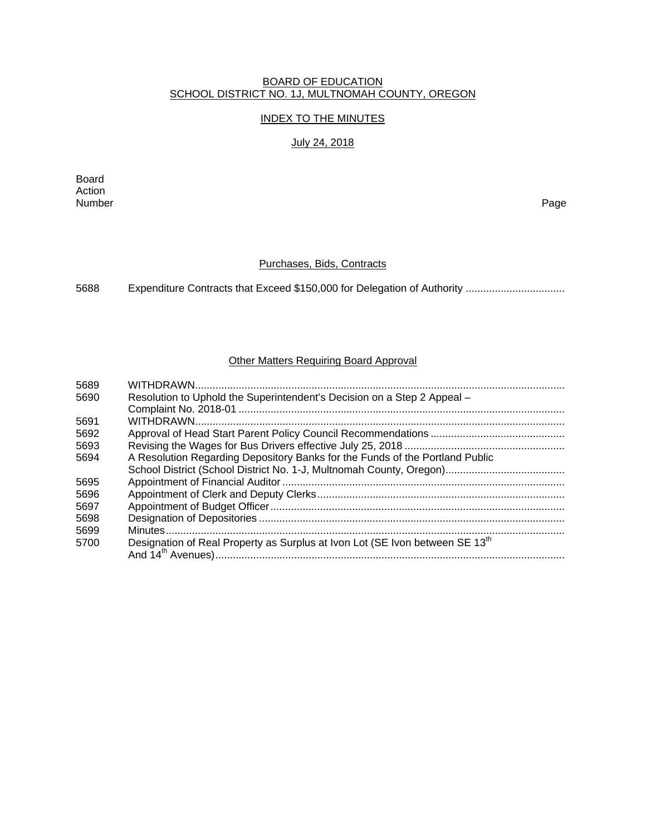## BOARD OF EDUCATION SCHOOL DISTRICT NO. 1J, MULTNOMAH COUNTY, OREGON

# INDEX TO THE MINUTES

## July 24, 2018

Board Action Number Page

# Purchases, Bids, Contracts

5688 Expenditure Contracts that Exceed \$150,000 for Delegation of Authority .................................

# Other Matters Requiring Board Approval

| 5689 |                                                                                          |
|------|------------------------------------------------------------------------------------------|
| 5690 | Resolution to Uphold the Superintendent's Decision on a Step 2 Appeal -                  |
|      |                                                                                          |
| 5691 |                                                                                          |
| 5692 |                                                                                          |
| 5693 |                                                                                          |
| 5694 | A Resolution Regarding Depository Banks for the Funds of the Portland Public             |
|      |                                                                                          |
| 5695 |                                                                                          |
| 5696 |                                                                                          |
| 5697 |                                                                                          |
| 5698 |                                                                                          |
| 5699 |                                                                                          |
| 5700 | Designation of Real Property as Surplus at Ivon Lot (SE Ivon between SE 13 <sup>th</sup> |
|      |                                                                                          |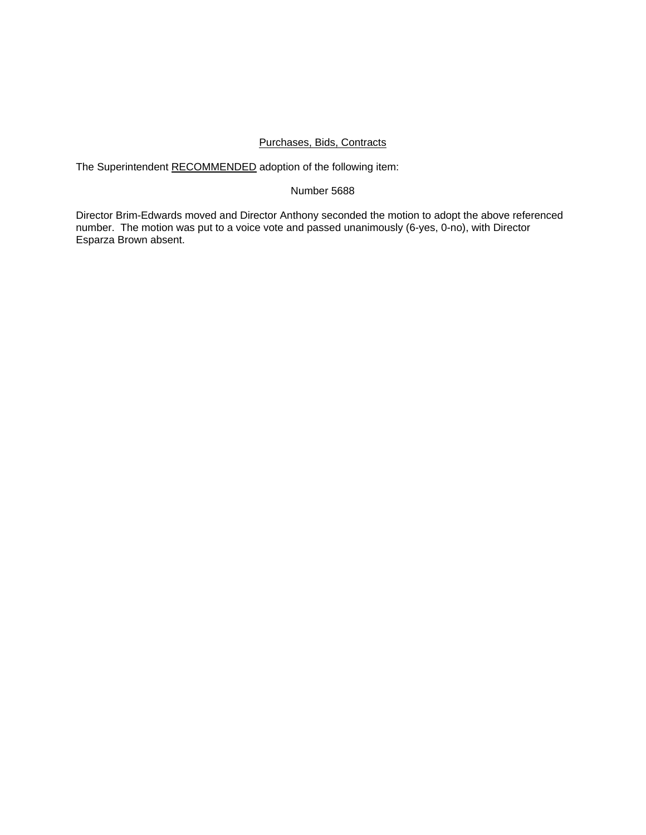## Purchases, Bids, Contracts

The Superintendent RECOMMENDED adoption of the following item:

## Number 5688

Director Brim-Edwards moved and Director Anthony seconded the motion to adopt the above referenced number. The motion was put to a voice vote and passed unanimously (6-yes, 0-no), with Director Esparza Brown absent.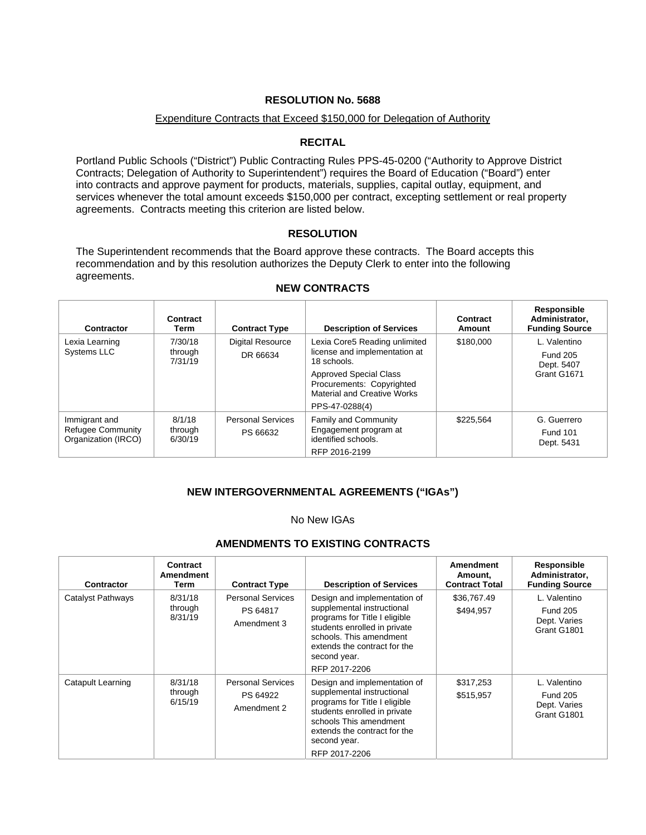# Expenditure Contracts that Exceed \$150,000 for Delegation of Authority

## **RECITAL**

Portland Public Schools ("District") Public Contracting Rules PPS-45-0200 ("Authority to Approve District Contracts; Delegation of Authority to Superintendent") requires the Board of Education ("Board") enter into contracts and approve payment for products, materials, supplies, capital outlay, equipment, and services whenever the total amount exceeds \$150,000 per contract, excepting settlement or real property agreements. Contracts meeting this criterion are listed below.

## **RESOLUTION**

The Superintendent recommends that the Board approve these contracts. The Board accepts this recommendation and by this resolution authorizes the Deputy Clerk to enter into the following agreements.

| <b>Contractor</b>                                         | Contract<br>Term              | <b>Contract Type</b>                 | <b>Description of Services</b>                                                                                     | Contract<br>Amount | Responsible<br>Administrator,<br><b>Funding Source</b>       |
|-----------------------------------------------------------|-------------------------------|--------------------------------------|--------------------------------------------------------------------------------------------------------------------|--------------------|--------------------------------------------------------------|
| Lexia Learning<br><b>Systems LLC</b>                      | 7/30/18<br>through<br>7/31/19 | <b>Digital Resource</b><br>DR 66634  | Lexia Core5 Reading unlimited<br>license and implementation at<br>18 schools.                                      | \$180,000          | L. Valentino<br><b>Fund 205</b><br>Dept. 5407<br>Grant G1671 |
|                                                           |                               |                                      | <b>Approved Special Class</b><br>Procurements: Copyrighted<br><b>Material and Creative Works</b><br>PPS-47-0288(4) |                    |                                                              |
| Immigrant and<br>Refugee Community<br>Organization (IRCO) | 8/1/18<br>through<br>6/30/19  | <b>Personal Services</b><br>PS 66632 | Family and Community<br>Engagement program at<br>identified schools.<br>RFP 2016-2199                              | \$225.564          | G. Guerrero<br><b>Fund 101</b><br>Dept. 5431                 |

## **NEW CONTRACTS**

# **NEW INTERGOVERNMENTAL AGREEMENTS ("IGAs")**

#### No New IGAs

# **AMENDMENTS TO EXISTING CONTRACTS**

| Contractor        | <b>Contract</b><br>Amendment<br>Term | <b>Contract Type</b>                                | <b>Description of Services</b>                                                                                                                                                                                          | <b>Amendment</b><br>Amount,<br><b>Contract Total</b> | Responsible<br>Administrator,<br><b>Funding Source</b>         |
|-------------------|--------------------------------------|-----------------------------------------------------|-------------------------------------------------------------------------------------------------------------------------------------------------------------------------------------------------------------------------|------------------------------------------------------|----------------------------------------------------------------|
| Catalyst Pathways | 8/31/18<br>through<br>8/31/19        | <b>Personal Services</b><br>PS 64817<br>Amendment 3 | Design and implementation of<br>supplemental instructional<br>programs for Title I eligible<br>students enrolled in private<br>schools. This amendment<br>extends the contract for the<br>second year.<br>RFP 2017-2206 | \$36,767.49<br>\$494,957                             | L. Valentino<br><b>Fund 205</b><br>Dept. Varies<br>Grant G1801 |
| Catapult Learning | 8/31/18<br>through<br>6/15/19        | <b>Personal Services</b><br>PS 64922<br>Amendment 2 | Design and implementation of<br>supplemental instructional<br>programs for Title I eligible<br>students enrolled in private<br>schools This amendment<br>extends the contract for the<br>second year.<br>RFP 2017-2206  | \$317,253<br>\$515,957                               | L. Valentino<br><b>Fund 205</b><br>Dept. Varies<br>Grant G1801 |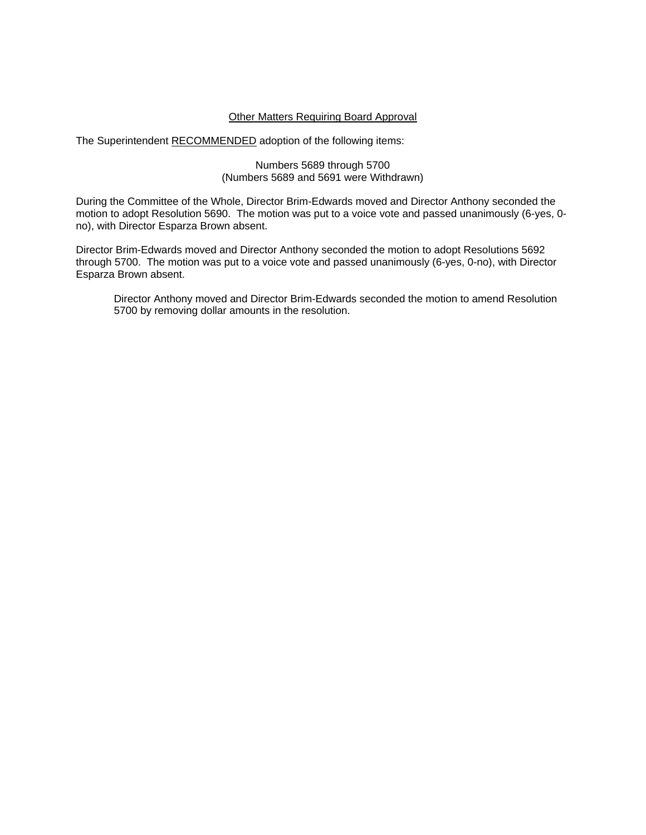# Other Matters Requiring Board Approval

The Superintendent RECOMMENDED adoption of the following items:

Numbers 5689 through 5700 (Numbers 5689 and 5691 were Withdrawn)

During the Committee of the Whole, Director Brim-Edwards moved and Director Anthony seconded the motion to adopt Resolution 5690. The motion was put to a voice vote and passed unanimously (6-yes, 0 no), with Director Esparza Brown absent.

Director Brim-Edwards moved and Director Anthony seconded the motion to adopt Resolutions 5692 through 5700. The motion was put to a voice vote and passed unanimously (6-yes, 0-no), with Director Esparza Brown absent.

 Director Anthony moved and Director Brim-Edwards seconded the motion to amend Resolution 5700 by removing dollar amounts in the resolution.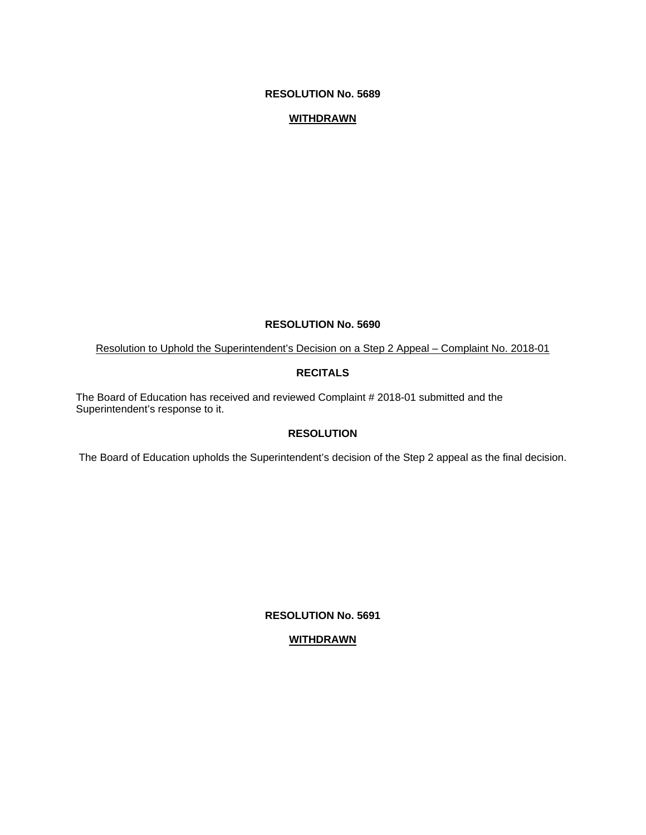## **WITHDRAWN**

## **RESOLUTION No. 5690**

Resolution to Uphold the Superintendent's Decision on a Step 2 Appeal – Complaint No. 2018-01

# **RECITALS**

The Board of Education has received and reviewed Complaint # 2018-01 submitted and the Superintendent's response to it.

## **RESOLUTION**

The Board of Education upholds the Superintendent's decision of the Step 2 appeal as the final decision.

**RESOLUTION No. 5691** 

## **WITHDRAWN**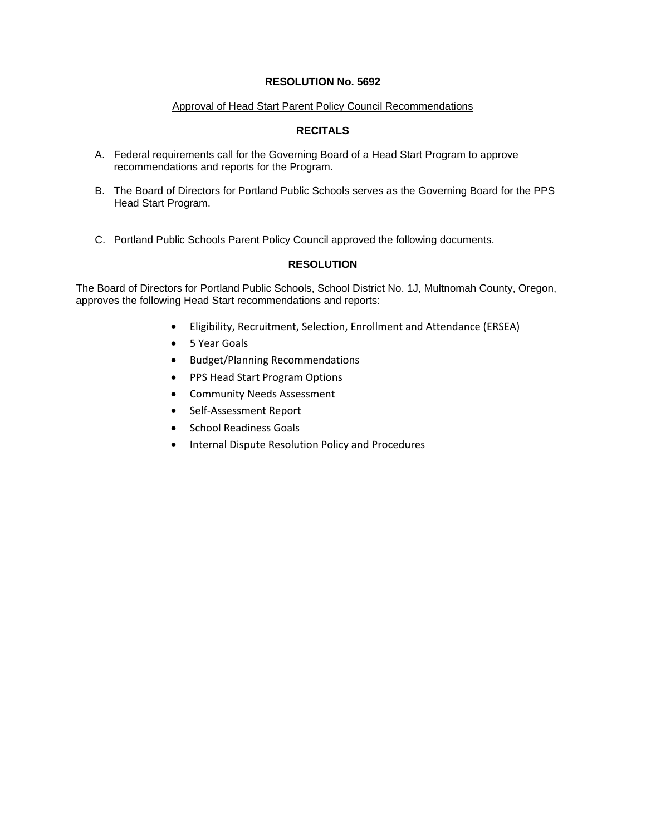## Approval of Head Start Parent Policy Council Recommendations

# **RECITALS**

- A. Federal requirements call for the Governing Board of a Head Start Program to approve recommendations and reports for the Program.
- B. The Board of Directors for Portland Public Schools serves as the Governing Board for the PPS Head Start Program.
- C. Portland Public Schools Parent Policy Council approved the following documents.

# **RESOLUTION**

The Board of Directors for Portland Public Schools, School District No. 1J, Multnomah County, Oregon, approves the following Head Start recommendations and reports:

- Eligibility, Recruitment, Selection, Enrollment and Attendance (ERSEA)
- 5 Year Goals
- Budget/Planning Recommendations
- PPS Head Start Program Options
- Community Needs Assessment
- Self‐Assessment Report
- School Readiness Goals
- Internal Dispute Resolution Policy and Procedures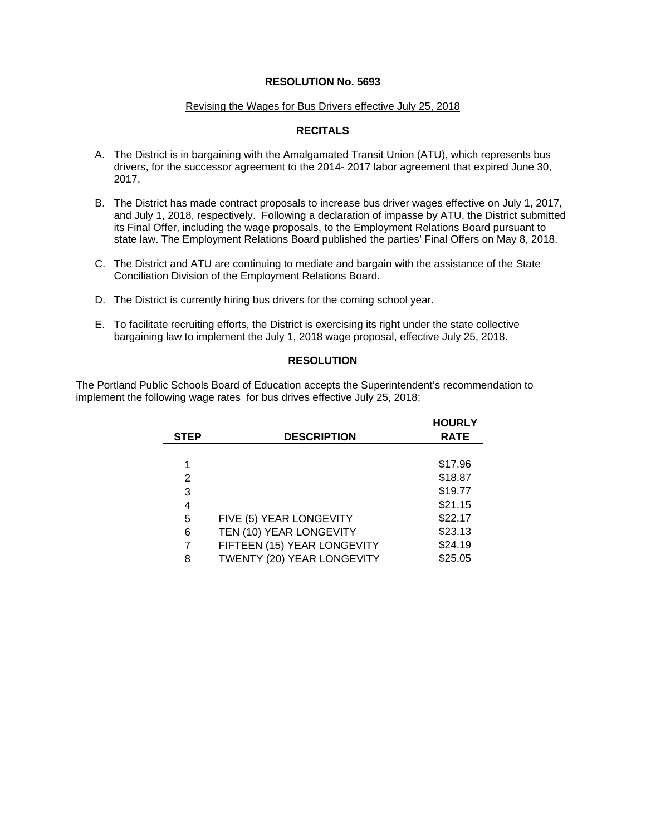#### Revising the Wages for Bus Drivers effective July 25, 2018

# **RECITALS**

- A. The District is in bargaining with the Amalgamated Transit Union (ATU), which represents bus drivers, for the successor agreement to the 2014- 2017 labor agreement that expired June 30, 2017.
- B. The District has made contract proposals to increase bus driver wages effective on July 1, 2017, and July 1, 2018, respectively. Following a declaration of impasse by ATU, the District submitted its Final Offer, including the wage proposals, to the Employment Relations Board pursuant to state law. The Employment Relations Board published the parties' Final Offers on May 8, 2018.
- C. The District and ATU are continuing to mediate and bargain with the assistance of the State Conciliation Division of the Employment Relations Board.
- D. The District is currently hiring bus drivers for the coming school year.
- E. To facilitate recruiting efforts, the District is exercising its right under the state collective bargaining law to implement the July 1, 2018 wage proposal, effective July 25, 2018.

## **RESOLUTION**

The Portland Public Schools Board of Education accepts the Superintendent's recommendation to implement the following wage rates for bus drives effective July 25, 2018:

|             |                             | <b>HOURLY</b> |
|-------------|-----------------------------|---------------|
| <b>STEP</b> | <b>DESCRIPTION</b>          | <b>RATE</b>   |
|             |                             |               |
| 1           |                             | \$17.96       |
| 2           |                             | \$18.87       |
| 3           |                             | \$19.77       |
| 4           |                             | \$21.15       |
| 5           | FIVE (5) YEAR LONGEVITY     | \$22.17       |
| 6           | TEN (10) YEAR LONGEVITY     | \$23.13       |
| 7           | FIFTEEN (15) YEAR LONGEVITY | \$24.19       |
| 8           | TWENTY (20) YEAR LONGEVITY  | \$25.05       |

**Hours**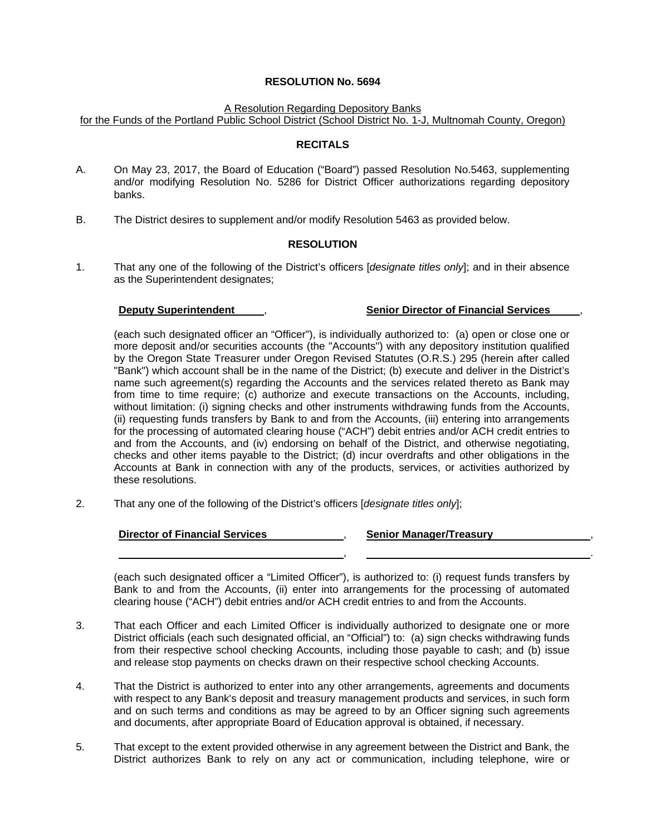#### A Resolution Regarding Depository Banks

for the Funds of the Portland Public School District (School District No. 1-J, Multnomah County, Oregon)

### **RECITALS**

- A. On May 23, 2017, the Board of Education ("Board") passed Resolution No.5463, supplementing and/or modifying Resolution No. 5286 for District Officer authorizations regarding depository banks.
- B. The District desires to supplement and/or modify Resolution 5463 as provided below.

## **RESOLUTION**

1. That any one of the following of the District's officers [*designate titles only*]; and in their absence as the Superintendent designates;

## **Deputy Superintendent** , **Senior Director of Financial Services** ,

(each such designated officer an "Officer"), is individually authorized to: (a) open or close one or more deposit and/or securities accounts (the "Accounts") with any depository institution qualified by the Oregon State Treasurer under Oregon Revised Statutes (O.R.S.) 295 (herein after called "Bank") which account shall be in the name of the District; (b) execute and deliver in the District's name such agreement(s) regarding the Accounts and the services related thereto as Bank may from time to time require; (c) authorize and execute transactions on the Accounts, including, without limitation: (i) signing checks and other instruments withdrawing funds from the Accounts. (ii) requesting funds transfers by Bank to and from the Accounts, (iii) entering into arrangements for the processing of automated clearing house ("ACH") debit entries and/or ACH credit entries to and from the Accounts, and (iv) endorsing on behalf of the District, and otherwise negotiating, checks and other items payable to the District; (d) incur overdrafts and other obligations in the Accounts at Bank in connection with any of the products, services, or activities authorized by these resolutions.

2. That any one of the following of the District's officers [*designate titles only*];

## **Director of Financial Services** , **Senior Manager/Treasury** ,

, .

(each such designated officer a "Limited Officer"), is authorized to: (i) request funds transfers by Bank to and from the Accounts, (ii) enter into arrangements for the processing of automated clearing house ("ACH") debit entries and/or ACH credit entries to and from the Accounts.

- 3. That each Officer and each Limited Officer is individually authorized to designate one or more District officials (each such designated official, an "Official") to: (a) sign checks withdrawing funds from their respective school checking Accounts, including those payable to cash; and (b) issue and release stop payments on checks drawn on their respective school checking Accounts.
- 4. That the District is authorized to enter into any other arrangements, agreements and documents with respect to any Bank's deposit and treasury management products and services, in such form and on such terms and conditions as may be agreed to by an Officer signing such agreements and documents, after appropriate Board of Education approval is obtained, if necessary.
- 5. That except to the extent provided otherwise in any agreement between the District and Bank, the District authorizes Bank to rely on any act or communication, including telephone, wire or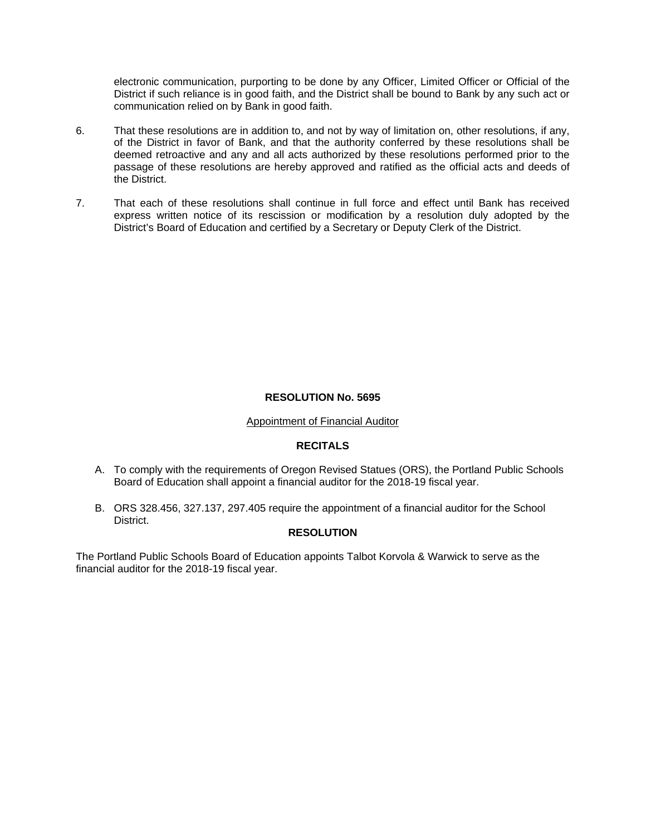electronic communication, purporting to be done by any Officer, Limited Officer or Official of the District if such reliance is in good faith, and the District shall be bound to Bank by any such act or communication relied on by Bank in good faith.

- 6. That these resolutions are in addition to, and not by way of limitation on, other resolutions, if any, of the District in favor of Bank, and that the authority conferred by these resolutions shall be deemed retroactive and any and all acts authorized by these resolutions performed prior to the passage of these resolutions are hereby approved and ratified as the official acts and deeds of the District.
- 7. That each of these resolutions shall continue in full force and effect until Bank has received express written notice of its rescission or modification by a resolution duly adopted by the District's Board of Education and certified by a Secretary or Deputy Clerk of the District.

# **RESOLUTION No. 5695**

# Appointment of Financial Auditor

# **RECITALS**

- A. To comply with the requirements of Oregon Revised Statues (ORS), the Portland Public Schools Board of Education shall appoint a financial auditor for the 2018-19 fiscal year.
- B. ORS 328.456, 327.137, 297.405 require the appointment of a financial auditor for the School District.

# **RESOLUTION**

The Portland Public Schools Board of Education appoints Talbot Korvola & Warwick to serve as the financial auditor for the 2018-19 fiscal year.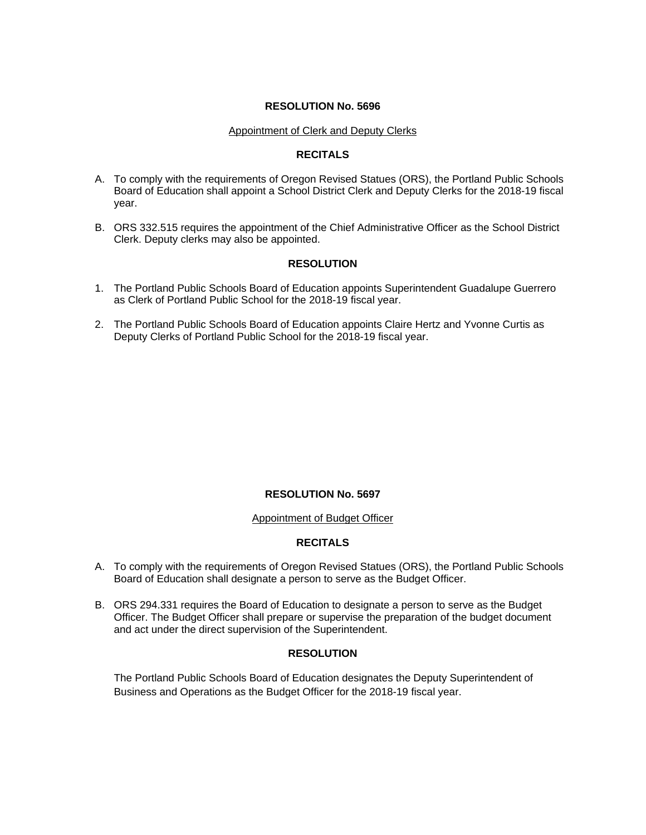### Appointment of Clerk and Deputy Clerks

## **RECITALS**

- A. To comply with the requirements of Oregon Revised Statues (ORS), the Portland Public Schools Board of Education shall appoint a School District Clerk and Deputy Clerks for the 2018-19 fiscal year.
- B. ORS 332.515 requires the appointment of the Chief Administrative Officer as the School District Clerk. Deputy clerks may also be appointed.

## **RESOLUTION**

- 1. The Portland Public Schools Board of Education appoints Superintendent Guadalupe Guerrero as Clerk of Portland Public School for the 2018-19 fiscal year.
- 2. The Portland Public Schools Board of Education appoints Claire Hertz and Yvonne Curtis as Deputy Clerks of Portland Public School for the 2018-19 fiscal year.

## **RESOLUTION No. 5697**

#### Appointment of Budget Officer

## **RECITALS**

- A. To comply with the requirements of Oregon Revised Statues (ORS), the Portland Public Schools Board of Education shall designate a person to serve as the Budget Officer.
- B. ORS 294.331 requires the Board of Education to designate a person to serve as the Budget Officer. The Budget Officer shall prepare or supervise the preparation of the budget document and act under the direct supervision of the Superintendent.

## **RESOLUTION**

The Portland Public Schools Board of Education designates the Deputy Superintendent of Business and Operations as the Budget Officer for the 2018-19 fiscal year.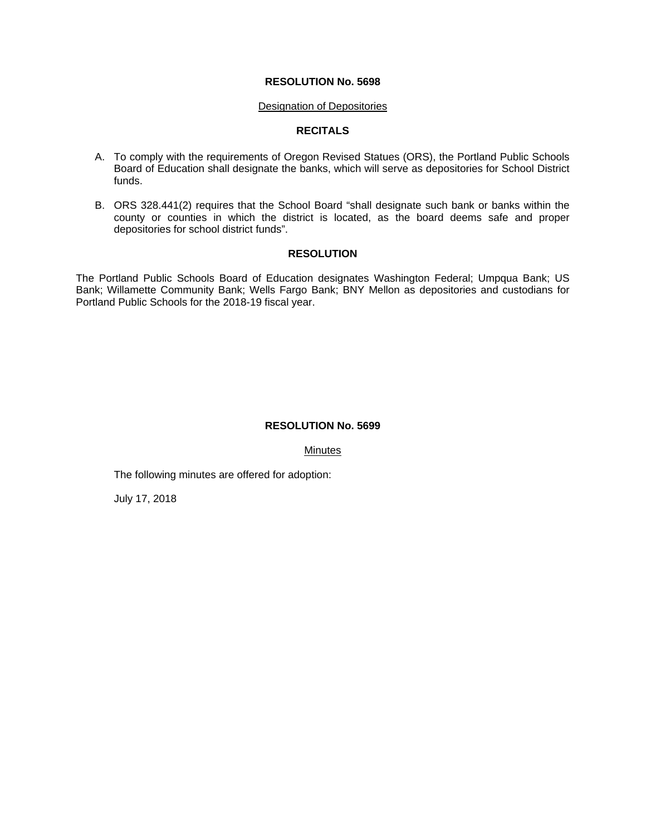#### Designation of Depositories

## **RECITALS**

- A. To comply with the requirements of Oregon Revised Statues (ORS), the Portland Public Schools Board of Education shall designate the banks, which will serve as depositories for School District funds.
- B. ORS 328.441(2) requires that the School Board "shall designate such bank or banks within the county or counties in which the district is located, as the board deems safe and proper depositories for school district funds".

## **RESOLUTION**

The Portland Public Schools Board of Education designates Washington Federal; Umpqua Bank; US Bank; Willamette Community Bank; Wells Fargo Bank; BNY Mellon as depositories and custodians for Portland Public Schools for the 2018-19 fiscal year.

## **RESOLUTION No. 5699**

Minutes

The following minutes are offered for adoption:

July 17, 2018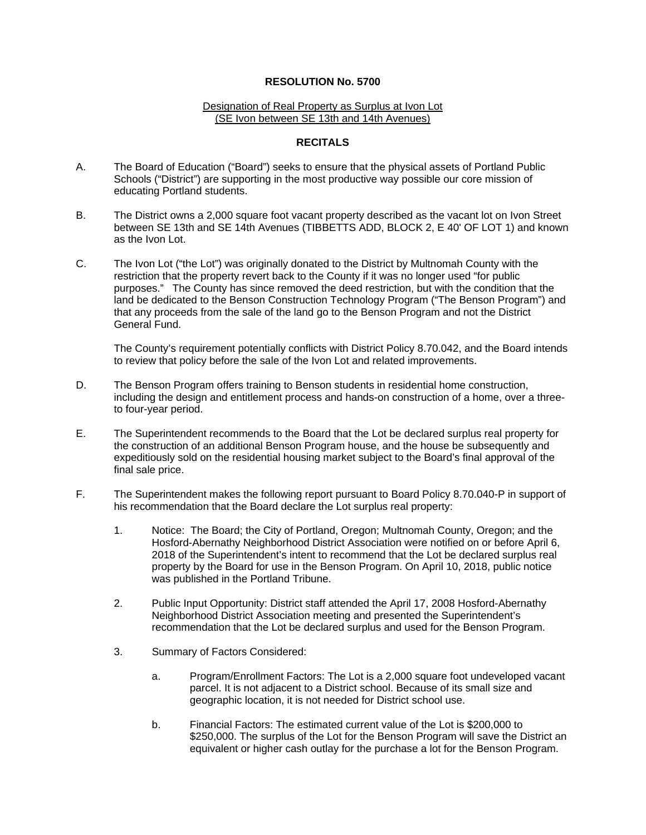### Designation of Real Property as Surplus at Ivon Lot (SE Ivon between SE 13th and 14th Avenues)

## **RECITALS**

- A. The Board of Education ("Board") seeks to ensure that the physical assets of Portland Public Schools ("District") are supporting in the most productive way possible our core mission of educating Portland students.
- B. The District owns a 2,000 square foot vacant property described as the vacant lot on Ivon Street between SE 13th and SE 14th Avenues (TIBBETTS ADD, BLOCK 2, E 40' OF LOT 1) and known as the Ivon Lot.
- C. The Ivon Lot ("the Lot") was originally donated to the District by Multnomah County with the restriction that the property revert back to the County if it was no longer used "for public purposes." The County has since removed the deed restriction, but with the condition that the land be dedicated to the Benson Construction Technology Program ("The Benson Program") and that any proceeds from the sale of the land go to the Benson Program and not the District General Fund.

The County's requirement potentially conflicts with District Policy 8.70.042, and the Board intends to review that policy before the sale of the Ivon Lot and related improvements.

- D. The Benson Program offers training to Benson students in residential home construction, including the design and entitlement process and hands-on construction of a home, over a threeto four-year period.
- E. The Superintendent recommends to the Board that the Lot be declared surplus real property for the construction of an additional Benson Program house, and the house be subsequently and expeditiously sold on the residential housing market subject to the Board's final approval of the final sale price.
- F. The Superintendent makes the following report pursuant to Board Policy 8.70.040-P in support of his recommendation that the Board declare the Lot surplus real property:
	- 1. Notice: The Board; the City of Portland, Oregon; Multnomah County, Oregon; and the Hosford-Abernathy Neighborhood District Association were notified on or before April 6, 2018 of the Superintendent's intent to recommend that the Lot be declared surplus real property by the Board for use in the Benson Program. On April 10, 2018, public notice was published in the Portland Tribune.
	- 2. Public Input Opportunity: District staff attended the April 17, 2008 Hosford-Abernathy Neighborhood District Association meeting and presented the Superintendent's recommendation that the Lot be declared surplus and used for the Benson Program.
	- 3. Summary of Factors Considered:
		- a. Program/Enrollment Factors: The Lot is a 2,000 square foot undeveloped vacant parcel. It is not adjacent to a District school. Because of its small size and geographic location, it is not needed for District school use.
		- b. Financial Factors: The estimated current value of the Lot is \$200,000 to \$250,000. The surplus of the Lot for the Benson Program will save the District an equivalent or higher cash outlay for the purchase a lot for the Benson Program.